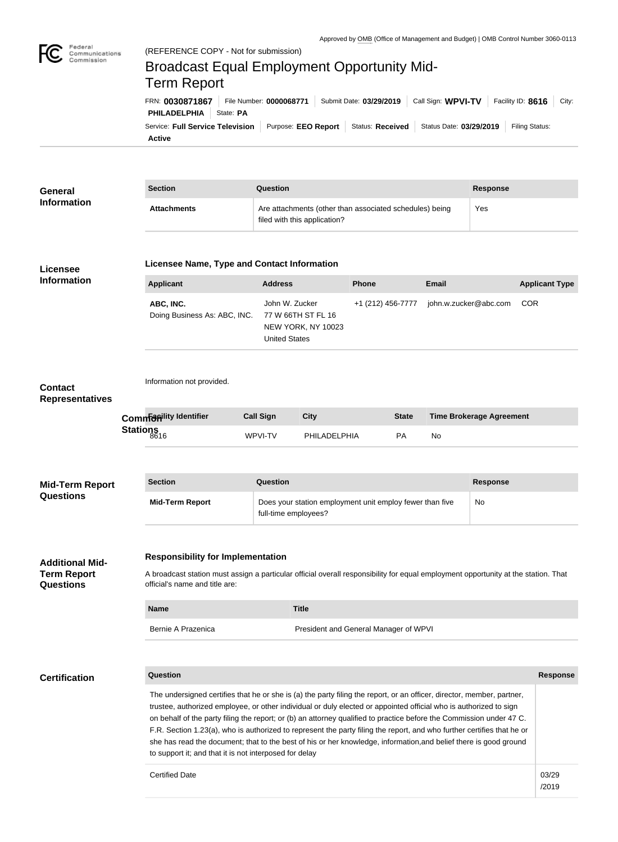

/2019

## Federal<br>Communications<br>Commission Broadcast Equal Employment Opportunity Mid-Term ReportFRN: **0030871867** File Number: **0000068771** Submit Date: **03/29/2019** Call Sign: **WPVI-TV** Facility ID: **8616** City: **PHILADELPHIA** State: PA Service: Full Service Television | Purpose: EEO Report | Status: Received | Status Date: 03/29/2019 | Filing Status: **Active**

| <b>General</b>                           | <b>Section</b>                                                                                                                                                                                                                                                                                                                                                                                                                                                                                                                                                                                                                                                                                        |  | Question                                                                                |              |                   |              |                       | <b>Response</b>                 |                       |  |
|------------------------------------------|-------------------------------------------------------------------------------------------------------------------------------------------------------------------------------------------------------------------------------------------------------------------------------------------------------------------------------------------------------------------------------------------------------------------------------------------------------------------------------------------------------------------------------------------------------------------------------------------------------------------------------------------------------------------------------------------------------|--|-----------------------------------------------------------------------------------------|--------------|-------------------|--------------|-----------------------|---------------------------------|-----------------------|--|
| <b>Information</b>                       | <b>Attachments</b>                                                                                                                                                                                                                                                                                                                                                                                                                                                                                                                                                                                                                                                                                    |  | Are attachments (other than associated schedules) being<br>filed with this application? | Yes          |                   |              |                       |                                 |                       |  |
| Licensee                                 | Licensee Name, Type and Contact Information                                                                                                                                                                                                                                                                                                                                                                                                                                                                                                                                                                                                                                                           |  |                                                                                         |              |                   |              |                       |                                 |                       |  |
| <b>Information</b>                       | <b>Applicant</b>                                                                                                                                                                                                                                                                                                                                                                                                                                                                                                                                                                                                                                                                                      |  | <b>Address</b>                                                                          |              | <b>Phone</b>      |              | <b>Email</b>          |                                 | <b>Applicant Type</b> |  |
|                                          | ABC, INC.<br>Doing Business As: ABC, INC.                                                                                                                                                                                                                                                                                                                                                                                                                                                                                                                                                                                                                                                             |  | John W. Zucker<br>77 W 66TH ST FL 16<br>NEW YORK, NY 10023<br><b>United States</b>      |              | +1 (212) 456-7777 |              | john.w.zucker@abc.com |                                 | <b>COR</b>            |  |
| <b>Contact</b><br><b>Representatives</b> | Information not provided.                                                                                                                                                                                                                                                                                                                                                                                                                                                                                                                                                                                                                                                                             |  |                                                                                         |              |                   |              |                       |                                 |                       |  |
|                                          | <b>Commanity Identifier</b>                                                                                                                                                                                                                                                                                                                                                                                                                                                                                                                                                                                                                                                                           |  | <b>Call Sign</b>                                                                        | <b>City</b>  |                   | <b>State</b> |                       | <b>Time Brokerage Agreement</b> |                       |  |
|                                          | Stations<br>8616                                                                                                                                                                                                                                                                                                                                                                                                                                                                                                                                                                                                                                                                                      |  | WPVI-TV                                                                                 | PHILADELPHIA |                   | PA           | No                    |                                 |                       |  |
|                                          |                                                                                                                                                                                                                                                                                                                                                                                                                                                                                                                                                                                                                                                                                                       |  |                                                                                         |              |                   |              |                       |                                 |                       |  |
| <b>Mid-Term Report</b><br>Questions      | <b>Section</b>                                                                                                                                                                                                                                                                                                                                                                                                                                                                                                                                                                                                                                                                                        |  | Question                                                                                |              |                   |              |                       | <b>Response</b>                 |                       |  |
|                                          | <b>Mid-Term Report</b>                                                                                                                                                                                                                                                                                                                                                                                                                                                                                                                                                                                                                                                                                |  | Does your station employment unit employ fewer than five<br>No<br>full-time employees?  |              |                   |              |                       |                                 |                       |  |
| <b>Additional Mid-</b>                   | <b>Responsibility for Implementation</b>                                                                                                                                                                                                                                                                                                                                                                                                                                                                                                                                                                                                                                                              |  |                                                                                         |              |                   |              |                       |                                 |                       |  |
| <b>Term Report</b><br>Questions          | A broadcast station must assign a particular official overall responsibility for equal employment opportunity at the station. That<br>official's name and title are:                                                                                                                                                                                                                                                                                                                                                                                                                                                                                                                                  |  |                                                                                         |              |                   |              |                       |                                 |                       |  |
|                                          | <b>Name</b>                                                                                                                                                                                                                                                                                                                                                                                                                                                                                                                                                                                                                                                                                           |  |                                                                                         | <b>Title</b> |                   |              |                       |                                 |                       |  |
|                                          | Bernie A Prazenica<br>President and General Manager of WPVI                                                                                                                                                                                                                                                                                                                                                                                                                                                                                                                                                                                                                                           |  |                                                                                         |              |                   |              |                       |                                 |                       |  |
| <b>Certification</b>                     | Question                                                                                                                                                                                                                                                                                                                                                                                                                                                                                                                                                                                                                                                                                              |  |                                                                                         |              |                   |              |                       |                                 | <b>Response</b>       |  |
|                                          | The undersigned certifies that he or she is (a) the party filing the report, or an officer, director, member, partner,<br>trustee, authorized employee, or other individual or duly elected or appointed official who is authorized to sign<br>on behalf of the party filing the report; or (b) an attorney qualified to practice before the Commission under 47 C.<br>F.R. Section 1.23(a), who is authorized to represent the party filing the report, and who further certifies that he or<br>she has read the document; that to the best of his or her knowledge, information, and belief there is good ground<br>to support it; and that it is not interposed for delay<br><b>Certified Date</b> |  |                                                                                         |              |                   |              |                       |                                 | 03/29                 |  |